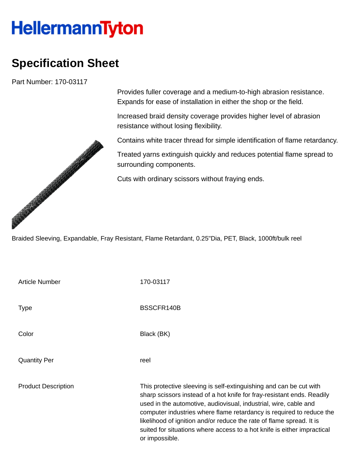## **HellermannTyton**

## **Specification Sheet**

Part Number: 170-03117

Provides fuller coverage and a medium-to-high abrasion resistance. Expands for ease of installation in either the shop or the field.

Increased braid density coverage provides higher level of abrasion resistance without losing flexibility.

Contains white tracer thread for simple identification of flame retardancy.

Treated yarns extinguish quickly and reduces potential flame spread to surrounding components.

Cuts with ordinary scissors without fraying ends.

Braided Sleeving, Expandable, Fray Resistant, Flame Retardant, 0.25"Dia, PET, Black, 1000ft/bulk reel

| <b>Article Number</b>      | 170-03117                                                                                                                                                                                                                                                                                                                                                                                                                                                     |
|----------------------------|---------------------------------------------------------------------------------------------------------------------------------------------------------------------------------------------------------------------------------------------------------------------------------------------------------------------------------------------------------------------------------------------------------------------------------------------------------------|
| <b>Type</b>                | BSSCFR140B                                                                                                                                                                                                                                                                                                                                                                                                                                                    |
| Color                      | Black (BK)                                                                                                                                                                                                                                                                                                                                                                                                                                                    |
| <b>Quantity Per</b>        | reel                                                                                                                                                                                                                                                                                                                                                                                                                                                          |
| <b>Product Description</b> | This protective sleeving is self-extinguishing and can be cut with<br>sharp scissors instead of a hot knife for fray-resistant ends. Readily<br>used in the automotive, audiovisual, industrial, wire, cable and<br>computer industries where flame retardancy is required to reduce the<br>likelihood of ignition and/or reduce the rate of flame spread. It is<br>suited for situations where access to a hot knife is either impractical<br>or impossible. |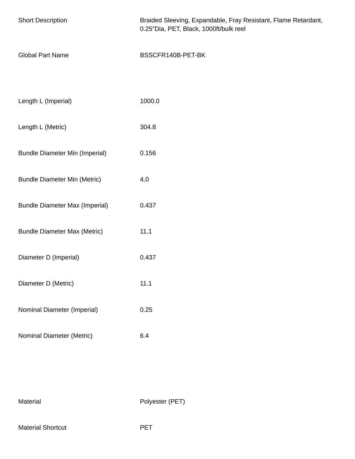| <b>Short Description</b>              | Braided Sleeving, Expandable, Fray Resistant, Flame Retardant,<br>0.25"Dia, PET, Black, 1000ft/bulk reel |  |  |
|---------------------------------------|----------------------------------------------------------------------------------------------------------|--|--|
| <b>Global Part Name</b>               | BSSCFR140B-PET-BK                                                                                        |  |  |
|                                       |                                                                                                          |  |  |
| Length L (Imperial)                   | 1000.0                                                                                                   |  |  |
| Length L (Metric)                     | 304.8                                                                                                    |  |  |
| <b>Bundle Diameter Min (Imperial)</b> | 0.156                                                                                                    |  |  |
| <b>Bundle Diameter Min (Metric)</b>   | 4.0                                                                                                      |  |  |
| <b>Bundle Diameter Max (Imperial)</b> | 0.437                                                                                                    |  |  |
| <b>Bundle Diameter Max (Metric)</b>   | 11.1                                                                                                     |  |  |
| Diameter D (Imperial)                 | 0.437                                                                                                    |  |  |
| Diameter D (Metric)                   | 11.1                                                                                                     |  |  |
| Nominal Diameter (Imperial)           | 0.25                                                                                                     |  |  |
| Nominal Diameter (Metric)             | 6.4                                                                                                      |  |  |

Material Polyester (PET)

Material Shortcut **PET**